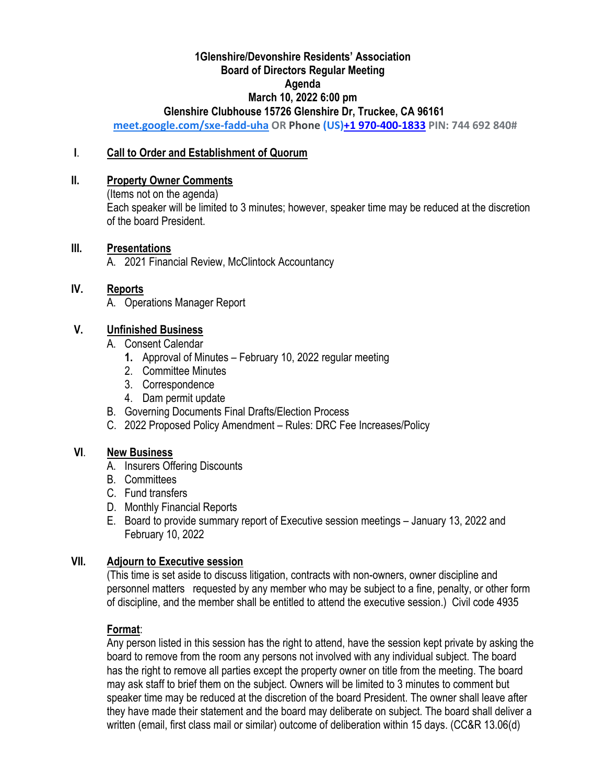## **1Glenshire/Devonshire Residents' Association Board of Directors Regular Meeting Agenda March 10, 2022 6:00 pm Glenshire Clubhouse 15726 Glenshire Dr, Truckee, CA 96161**

**[meet.google.com/sxe-fadd-uha](https://meet.google.com/sxe-fadd-uha?hs=122&authuser=1) OR Phone (US)+1 970-400-[1833](tel:%E2%80%AA+1%20970-400-1833%E2%80%AC)PIN: 744 692 840#**

#### **I**. **Call to Order and Establishment of Quorum**

#### **II. Property Owner Comments**

(Items not on the agenda) Each speaker will be limited to 3 minutes; however, speaker time may be reduced at the discretion of the board President.

#### **III. Presentations**

A. 2021 Financial Review, McClintock Accountancy

## **IV. Reports**

A. Operations Manager Report

## **V. Unfinished Business**

- A. Consent Calendar
	- **1.** Approval of Minutes February 10, 2022 regular meeting
	- 2. Committee Minutes
	- 3. Correspondence
	- 4. Dam permit update
- B. Governing Documents Final Drafts/Election Process
- C. 2022 Proposed Policy Amendment Rules: DRC Fee Increases/Policy

## **VI**. **New Business**

- A. Insurers Offering Discounts
- B. Committees
- C. Fund transfers
- D. Monthly Financial Reports
- E. Board to provide summary report of Executive session meetings January 13, 2022 and February 10, 2022

## **VII. Adjourn to Executive session**

(This time is set aside to discuss litigation, contracts with non-owners, owner discipline and personnel matters requested by any member who may be subject to a fine, penalty, or other form of discipline, and the member shall be entitled to attend the executive session.) Civil code 4935

## **Format**:

Any person listed in this session has the right to attend, have the session kept private by asking the board to remove from the room any persons not involved with any individual subject. The board has the right to remove all parties except the property owner on title from the meeting. The board may ask staff to brief them on the subject. Owners will be limited to 3 minutes to comment but speaker time may be reduced at the discretion of the board President. The owner shall leave after they have made their statement and the board may deliberate on subject. The board shall deliver a written (email, first class mail or similar) outcome of deliberation within 15 days. (CC&R 13.06(d)